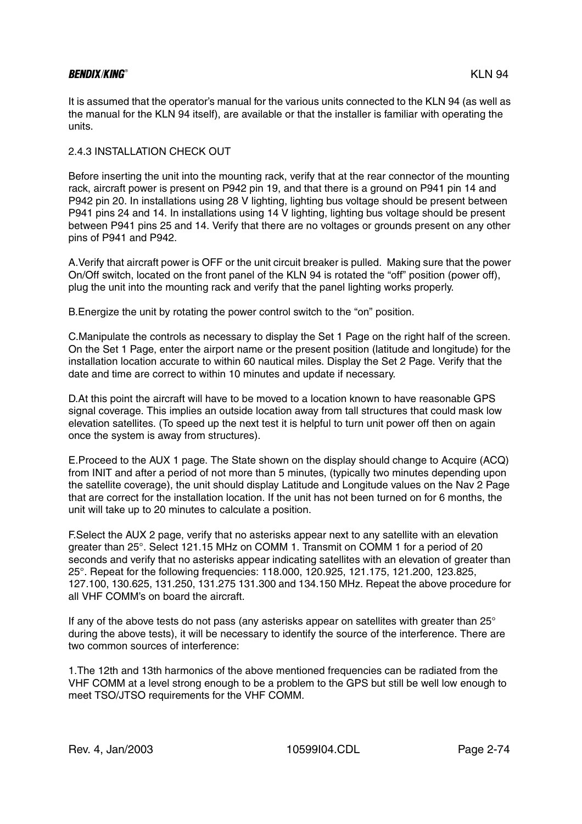# BENDIX/KING® KLN 94

It is assumed that the operator's manual for the various units connected to the KLN 94 (as well as the manual for the KLN 94 itself), are available or that the installer is familiar with operating the units.

### 2.4.3 INSTALLATION CHECK OUT

Before inserting the unit into the mounting rack, verify that at the rear connector of the mounting rack, aircraft power is present on P942 pin 19, and that there is a ground on P941 pin 14 and P942 pin 20. In installations using 28 V lighting, lighting bus voltage should be present between P941 pins 24 and 14. In installations using 14 V lighting, lighting bus voltage should be present between P941 pins 25 and 14. Verify that there are no voltages or grounds present on any other pins of P941 and P942.

A.Verify that aircraft power is OFF or the unit circuit breaker is pulled. Making sure that the power On/Off switch, located on the front panel of the KLN 94 is rotated the "off" position (power off), plug the unit into the mounting rack and verify that the panel lighting works properly.

B.Energize the unit by rotating the power control switch to the "on" position.

C.Manipulate the controls as necessary to display the Set 1 Page on the right half of the screen. On the Set 1 Page, enter the airport name or the present position (latitude and longitude) for the installation location accurate to within 60 nautical miles. Display the Set 2 Page. Verify that the date and time are correct to within 10 minutes and update if necessary.

D.At this point the aircraft will have to be moved to a location known to have reasonable GPS signal coverage. This implies an outside location away from tall structures that could mask low elevation satellites. (To speed up the next test it is helpful to turn unit power off then on again once the system is away from structures).

E.Proceed to the AUX 1 page. The State shown on the display should change to Acquire (ACQ) from INIT and after a period of not more than 5 minutes, (typically two minutes depending upon the satellite coverage), the unit should display Latitude and Longitude values on the Nav 2 Page that are correct for the installation location. If the unit has not been turned on for 6 months, the unit will take up to 20 minutes to calculate a position.

F.Select the AUX 2 page, verify that no asterisks appear next to any satellite with an elevation greater than 25°. Select 121.15 MHz on COMM 1. Transmit on COMM 1 for a period of 20 seconds and verify that no asterisks appear indicating satellites with an elevation of greater than 25°. Repeat for the following frequencies: 118.000, 120.925, 121.175, 121.200, 123.825, 127.100, 130.625, 131.250, 131.275 131.300 and 134.150 MHz. Repeat the above procedure for all VHF COMM's on board the aircraft.

If any of the above tests do not pass (any asterisks appear on satellites with greater than 25° during the above tests), it will be necessary to identify the source of the interference. There are two common sources of interference:

1.The 12th and 13th harmonics of the above mentioned frequencies can be radiated from the VHF COMM at a level strong enough to be a problem to the GPS but still be well low enough to meet TSO/JTSO requirements for the VHF COMM.